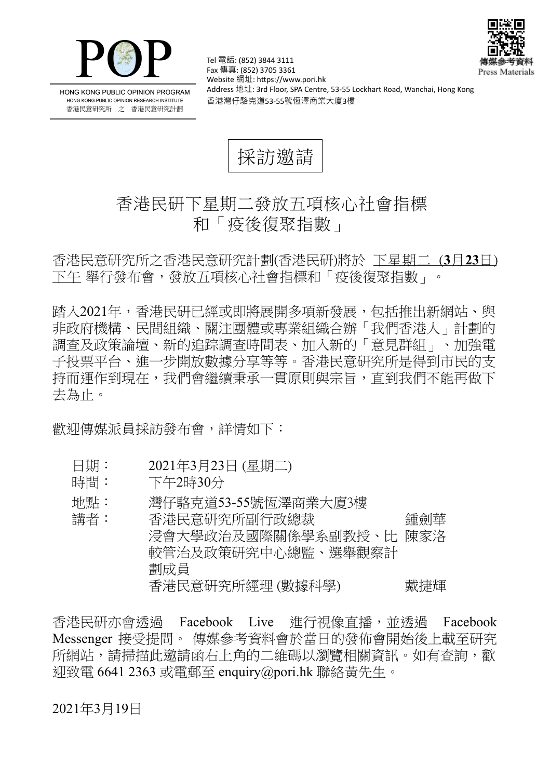



HONG KONG PUBLIC OPINION PROGRAM HONG KONG PUBLIC OPINION RESEARCH INSTITUTE 香港民意研究所 之 香港民意研究計劃

Tel 電話: (852) 3844 3111 Fax 傳真: (852) 3705 3361 Website 網址: https://www.pori.hk Address 地址: 3rd Floor, SPA Centre, 53-55 Lockhart Road, Wanchai, Hong Kong 香港灣仔駱克道53-55號恆澤商業大廈3樓

採訪邀請

## 香港民研下星期二發放五項核心社會指標 和「疫後復聚指數」

香 港 民 意 研 究 所 之 香 港 民 意 研 究 計 劃 (香 港 民 研)將 於 下星期二 (**3** 月**23** 日) 下午 舉行發布會,發放五項核心社會指標和「疫後復聚指數」。

踏入2021年,香港民研已經或即將展開多項新發展,包括推出新網站、與 非政府機構、民間組織、關注團體或專業組織合辦「我們香港人」計劃的 調査及政策論壇、新的追踪調査時間表、加入新的「意見群組」、加強電 子投票平台、進一步開放數據分享等等。香港民意研究所是得到市民的支 持而運作到現在,我們會繼續秉承一貫原則與宗旨,直到我們不能再做下 去 為 止。

歡 鸿 傳 媒 派 員 採 訪 發 布 會 , 詳 情 如 下 :

- 日期: 2021年3月23日 (星期二)
- 時間: 下午2時30分
- 地點: 灣仔駱克道53-55號恆澤商業大廈3樓

講 者 : 香 港 民 意 研 究 所 副 行 政 總 裁 鍾 劍 華 浸會大學政治及國際關係學系副教授、比 陳家洛 較 管 治 及 政 策 研 究 中 心 總 監、 選 舉 觀 察 計 劃 成 員 香港民意研究所經理 (數據科學) 戴捷輝

香港民研亦會透過 Facebook Live 進行視像直播, 並透過 Facebook Messenger 接受提問。 傳媒參考資料會於當日的發佈會開始後上載至研究 所網站,請掃描此激請函右上角的二維碼以瀏覽相關資訊。如有杳詢,歡 迎致電 6641 2363 或電郵至 enquiry@pori.hk 聯絡黃先生。

2021年3月19日